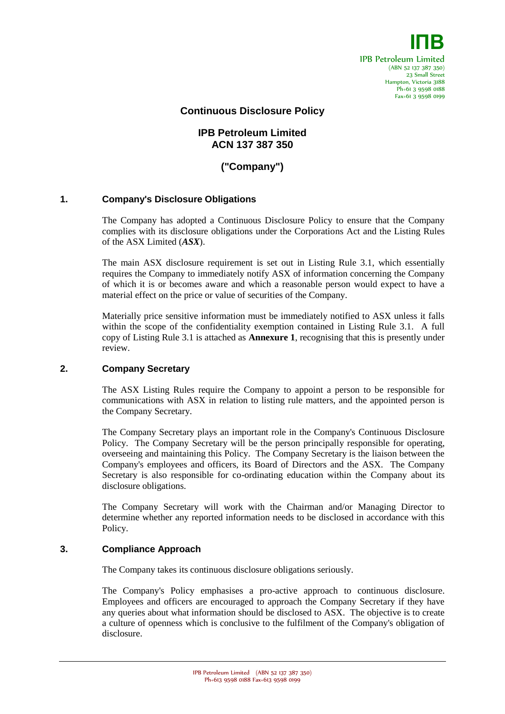

## **Continuous Disclosure Policy**

# **IPB Petroleum Limited ACN 137 387 350**

# **("Company")**

#### **1. Company's Disclosure Obligations**

The Company has adopted a Continuous Disclosure Policy to ensure that the Company complies with its disclosure obligations under the Corporations Act and the Listing Rules of the ASX Limited (*ASX*).

The main ASX disclosure requirement is set out in Listing Rule 3.1, which essentially requires the Company to immediately notify ASX of information concerning the Company of which it is or becomes aware and which a reasonable person would expect to have a material effect on the price or value of securities of the Company.

Materially price sensitive information must be immediately notified to ASX unless it falls within the scope of the confidentiality exemption contained in Listing Rule 3.1. A full copy of Listing Rule 3.1 is attached as **Annexure 1**, recognising that this is presently under review.

#### **2. Company Secretary**

The ASX Listing Rules require the Company to appoint a person to be responsible for communications with ASX in relation to listing rule matters, and the appointed person is the Company Secretary.

The Company Secretary plays an important role in the Company's Continuous Disclosure Policy. The Company Secretary will be the person principally responsible for operating, overseeing and maintaining this Policy. The Company Secretary is the liaison between the Company's employees and officers, its Board of Directors and the ASX. The Company Secretary is also responsible for co-ordinating education within the Company about its disclosure obligations.

The Company Secretary will work with the Chairman and/or Managing Director to determine whether any reported information needs to be disclosed in accordance with this Policy.

#### **3. Compliance Approach**

The Company takes its continuous disclosure obligations seriously.

The Company's Policy emphasises a pro-active approach to continuous disclosure. Employees and officers are encouraged to approach the Company Secretary if they have any queries about what information should be disclosed to ASX. The objective is to create a culture of openness which is conclusive to the fulfilment of the Company's obligation of disclosure.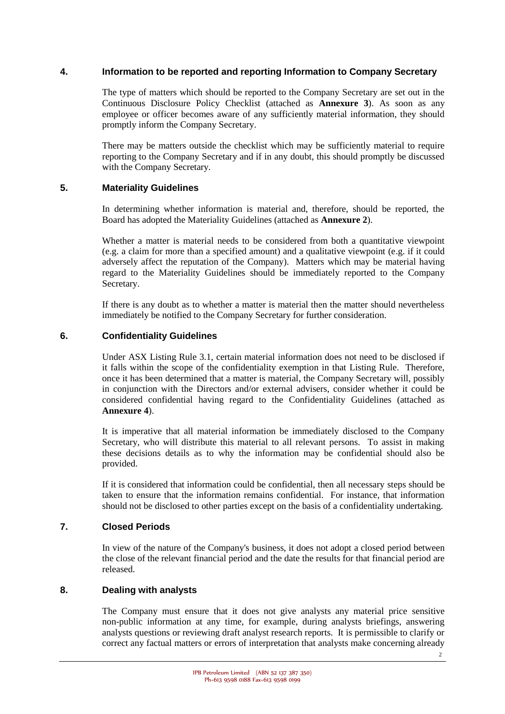## **4. Information to be reported and reporting Information to Company Secretary**

The type of matters which should be reported to the Company Secretary are set out in the Continuous Disclosure Policy Checklist (attached as **Annexure 3**). As soon as any employee or officer becomes aware of any sufficiently material information, they should promptly inform the Company Secretary.

There may be matters outside the checklist which may be sufficiently material to require reporting to the Company Secretary and if in any doubt, this should promptly be discussed with the Company Secretary.

## **5. Materiality Guidelines**

In determining whether information is material and, therefore, should be reported, the Board has adopted the Materiality Guidelines (attached as **Annexure 2**).

Whether a matter is material needs to be considered from both a quantitative viewpoint (e.g. a claim for more than a specified amount) and a qualitative viewpoint (e.g. if it could adversely affect the reputation of the Company). Matters which may be material having regard to the Materiality Guidelines should be immediately reported to the Company Secretary.

If there is any doubt as to whether a matter is material then the matter should nevertheless immediately be notified to the Company Secretary for further consideration.

## **6. Confidentiality Guidelines**

Under ASX Listing Rule 3.1, certain material information does not need to be disclosed if it falls within the scope of the confidentiality exemption in that Listing Rule. Therefore, once it has been determined that a matter is material, the Company Secretary will, possibly in conjunction with the Directors and/or external advisers, consider whether it could be considered confidential having regard to the Confidentiality Guidelines (attached as **Annexure 4**).

It is imperative that all material information be immediately disclosed to the Company Secretary, who will distribute this material to all relevant persons. To assist in making these decisions details as to why the information may be confidential should also be provided.

If it is considered that information could be confidential, then all necessary steps should be taken to ensure that the information remains confidential. For instance, that information should not be disclosed to other parties except on the basis of a confidentiality undertaking.

## **7. Closed Periods**

In view of the nature of the Company's business, it does not adopt a closed period between the close of the relevant financial period and the date the results for that financial period are released.

## **8. Dealing with analysts**

The Company must ensure that it does not give analysts any material price sensitive non-public information at any time, for example, during analysts briefings, answering analysts questions or reviewing draft analyst research reports. It is permissible to clarify or correct any factual matters or errors of interpretation that analysts make concerning already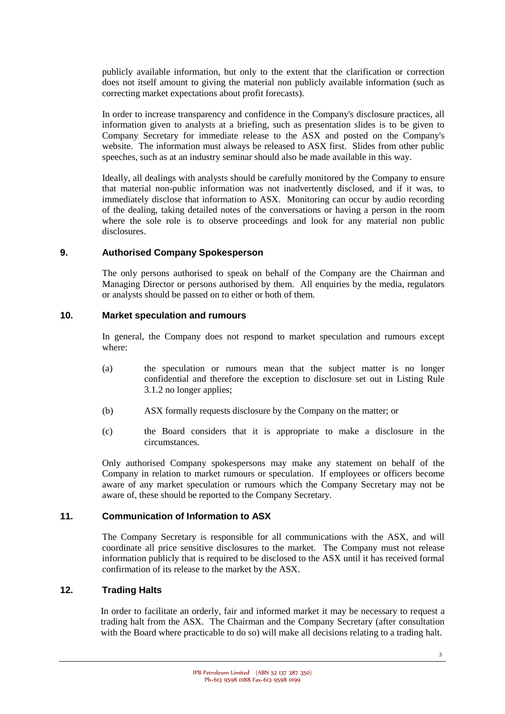publicly available information, but only to the extent that the clarification or correction does not itself amount to giving the material non publicly available information (such as correcting market expectations about profit forecasts).

In order to increase transparency and confidence in the Company's disclosure practices, all information given to analysts at a briefing, such as presentation slides is to be given to Company Secretary for immediate release to the ASX and posted on the Company's website. The information must always be released to ASX first. Slides from other public speeches, such as at an industry seminar should also be made available in this way.

Ideally, all dealings with analysts should be carefully monitored by the Company to ensure that material non-public information was not inadvertently disclosed, and if it was, to immediately disclose that information to ASX. Monitoring can occur by audio recording of the dealing, taking detailed notes of the conversations or having a person in the room where the sole role is to observe proceedings and look for any material non public disclosures.

## **9. Authorised Company Spokesperson**

The only persons authorised to speak on behalf of the Company are the Chairman and Managing Director or persons authorised by them. All enquiries by the media, regulators or analysts should be passed on to either or both of them.

#### **10. Market speculation and rumours**

In general, the Company does not respond to market speculation and rumours except where:

- (a) the speculation or rumours mean that the subject matter is no longer confidential and therefore the exception to disclosure set out in Listing Rule 3.1.2 no longer applies;
- (b) ASX formally requests disclosure by the Company on the matter; or
- (c) the Board considers that it is appropriate to make a disclosure in the circumstances.

Only authorised Company spokespersons may make any statement on behalf of the Company in relation to market rumours or speculation. If employees or officers become aware of any market speculation or rumours which the Company Secretary may not be aware of, these should be reported to the Company Secretary.

## **11. Communication of Information to ASX**

The Company Secretary is responsible for all communications with the ASX, and will coordinate all price sensitive disclosures to the market. The Company must not release information publicly that is required to be disclosed to the ASX until it has received formal confirmation of its release to the market by the ASX.

## **12. Trading Halts**

In order to facilitate an orderly, fair and informed market it may be necessary to request a trading halt from the ASX. The Chairman and the Company Secretary (after consultation with the Board where practicable to do so) will make all decisions relating to a trading halt.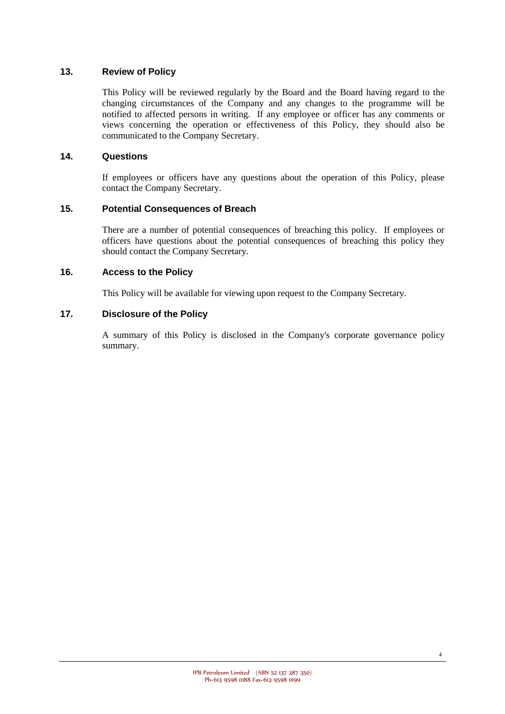## **13. Review of Policy**

This Policy will be reviewed regularly by the Board and the Board having regard to the changing circumstances of the Company and any changes to the programme will be notified to affected persons in writing. If any employee or officer has any comments or views concerning the operation or effectiveness of this Policy, they should also be communicated to the Company Secretary.

## **14. Questions**

If employees or officers have any questions about the operation of this Policy, please contact the Company Secretary.

## **15. Potential Consequences of Breach**

There are a number of potential consequences of breaching this policy. If employees or officers have questions about the potential consequences of breaching this policy they should contact the Company Secretary.

## **16. Access to the Policy**

This Policy will be available for viewing upon request to the Company Secretary.

## **17. Disclosure of the Policy**

A summary of this Policy is disclosed in the Company's corporate governance policy summary.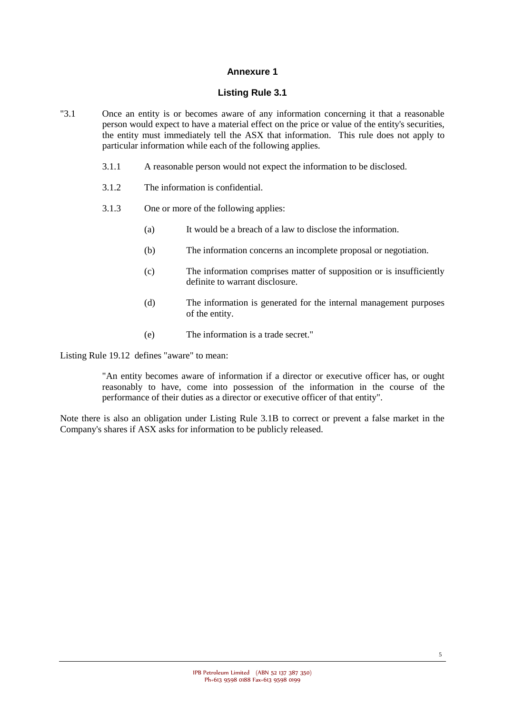#### **Listing Rule 3.1**

- "3.1 Once an entity is or becomes aware of any information concerning it that a reasonable person would expect to have a material effect on the price or value of the entity's securities, the entity must immediately tell the ASX that information. This rule does not apply to particular information while each of the following applies.
	- 3.1.1 A reasonable person would not expect the information to be disclosed.
	- 3.1.2 The information is confidential.
	- 3.1.3 One or more of the following applies:
		- (a) It would be a breach of a law to disclose the information.
		- (b) The information concerns an incomplete proposal or negotiation.
		- (c) The information comprises matter of supposition or is insufficiently definite to warrant disclosure.
		- (d) The information is generated for the internal management purposes of the entity.
		- (e) The information is a trade secret."

Listing Rule 19.12 defines "aware" to mean:

"An entity becomes aware of information if a director or executive officer has, or ought reasonably to have, come into possession of the information in the course of the performance of their duties as a director or executive officer of that entity".

Note there is also an obligation under Listing Rule 3.1B to correct or prevent a false market in the Company's shares if ASX asks for information to be publicly released.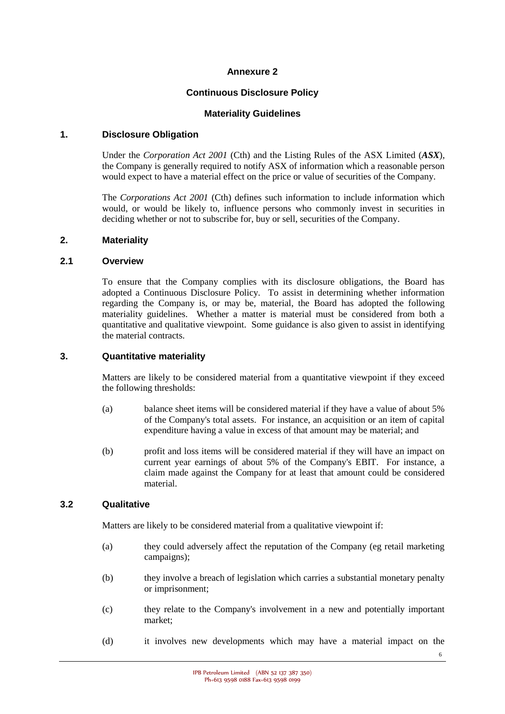## **Continuous Disclosure Policy**

#### **Materiality Guidelines**

## **1. Disclosure Obligation**

Under the *Corporation Act 2001* (Cth) and the Listing Rules of the ASX Limited (*ASX*), the Company is generally required to notify ASX of information which a reasonable person would expect to have a material effect on the price or value of securities of the Company.

The *Corporations Act 2001* (Cth) defines such information to include information which would, or would be likely to, influence persons who commonly invest in securities in deciding whether or not to subscribe for, buy or sell, securities of the Company.

#### **2. Materiality**

#### **2.1 Overview**

To ensure that the Company complies with its disclosure obligations, the Board has adopted a Continuous Disclosure Policy. To assist in determining whether information regarding the Company is, or may be, material, the Board has adopted the following materiality guidelines. Whether a matter is material must be considered from both a quantitative and qualitative viewpoint. Some guidance is also given to assist in identifying the material contracts.

#### **3. Quantitative materiality**

Matters are likely to be considered material from a quantitative viewpoint if they exceed the following thresholds:

- (a) balance sheet items will be considered material if they have a value of about 5% of the Company's total assets. For instance, an acquisition or an item of capital expenditure having a value in excess of that amount may be material; and
- (b) profit and loss items will be considered material if they will have an impact on current year earnings of about 5% of the Company's EBIT. For instance, a claim made against the Company for at least that amount could be considered material.

## **3.2 Qualitative**

Matters are likely to be considered material from a qualitative viewpoint if:

- (a) they could adversely affect the reputation of the Company (eg retail marketing campaigns);
- (b) they involve a breach of legislation which carries a substantial monetary penalty or imprisonment;
- (c) they relate to the Company's involvement in a new and potentially important market;
- (d) it involves new developments which may have a material impact on the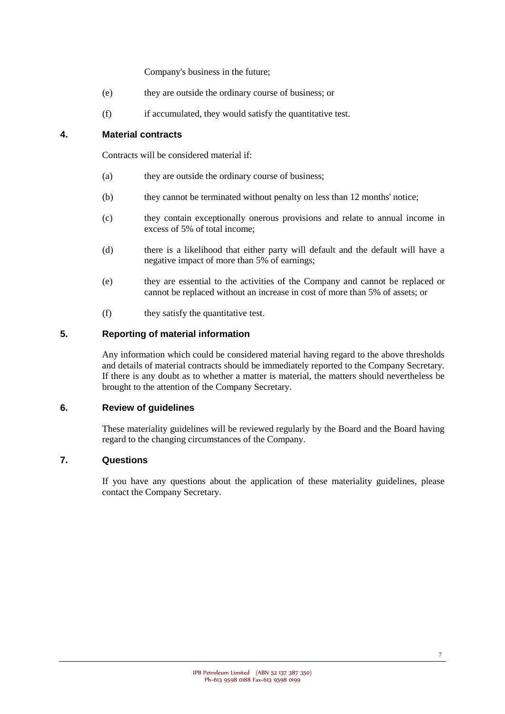Company's business in the future;

- (e) they are outside the ordinary course of business; or
- (f) if accumulated, they would satisfy the quantitative test.

## **4. Material contracts**

Contracts will be considered material if:

- (a) they are outside the ordinary course of business;
- (b) they cannot be terminated without penalty on less than 12 months' notice;
- (c) they contain exceptionally onerous provisions and relate to annual income in excess of 5% of total income;
- (d) there is a likelihood that either party will default and the default will have a negative impact of more than 5% of earnings;
- (e) they are essential to the activities of the Company and cannot be replaced or cannot be replaced without an increase in cost of more than 5% of assets; or
- (f) they satisfy the quantitative test.

## **5. Reporting of material information**

Any information which could be considered material having regard to the above thresholds and details of material contracts should be immediately reported to the Company Secretary. If there is any doubt as to whether a matter is material, the matters should nevertheless be brought to the attention of the Company Secretary.

## **6. Review of guidelines**

These materiality guidelines will be reviewed regularly by the Board and the Board having regard to the changing circumstances of the Company.

## **7. Questions**

If you have any questions about the application of these materiality guidelines, please contact the Company Secretary.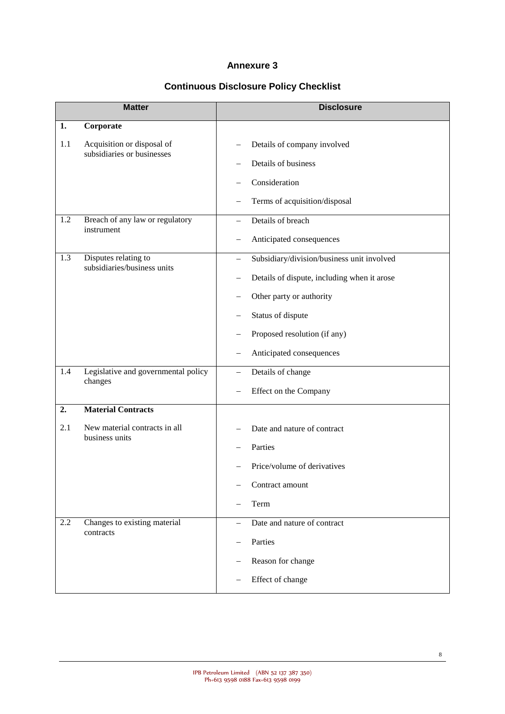# **Continuous Disclosure Policy Checklist**

| <b>Matter</b> |                                                          | <b>Disclosure</b>                           |
|---------------|----------------------------------------------------------|---------------------------------------------|
| 1.            | Corporate                                                |                                             |
| 1.1           | Acquisition or disposal of<br>subsidiaries or businesses | Details of company involved                 |
|               |                                                          | Details of business                         |
|               |                                                          | Consideration                               |
|               |                                                          | Terms of acquisition/disposal               |
| 1.2           | Breach of any law or regulatory<br>instrument            | Details of breach                           |
|               |                                                          | Anticipated consequences                    |
| 1.3           | Disputes relating to<br>subsidiaries/business units      | Subsidiary/division/business unit involved  |
|               |                                                          | Details of dispute, including when it arose |
|               |                                                          | Other party or authority                    |
|               |                                                          | Status of dispute                           |
|               |                                                          | Proposed resolution (if any)                |
|               |                                                          | Anticipated consequences                    |
| 1.4           | Legislative and governmental policy<br>changes           | Details of change<br>$\qquad \qquad -$      |
|               |                                                          | Effect on the Company                       |
| 2.            | <b>Material Contracts</b>                                |                                             |
| 2.1           | New material contracts in all<br>business units          | Date and nature of contract                 |
|               |                                                          | Parties                                     |
|               |                                                          | Price/volume of derivatives                 |
|               |                                                          | Contract amount                             |
|               |                                                          | Term                                        |
| 2.2           | Changes to existing material<br>contracts                | Date and nature of contract                 |
|               |                                                          | Parties                                     |
|               |                                                          | Reason for change                           |
|               |                                                          | Effect of change                            |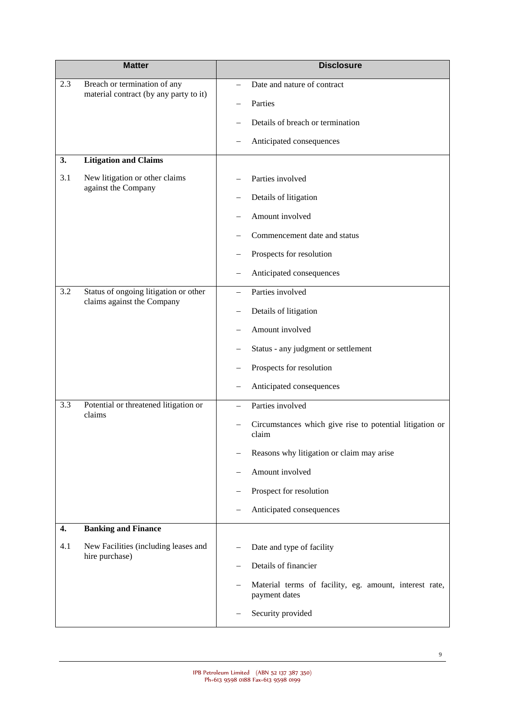| <b>Matter</b> |                                                                        | <b>Disclosure</b>                                                       |
|---------------|------------------------------------------------------------------------|-------------------------------------------------------------------------|
| 2.3           | Breach or termination of any<br>material contract (by any party to it) | Date and nature of contract                                             |
|               |                                                                        | Parties                                                                 |
|               |                                                                        | Details of breach or termination                                        |
|               |                                                                        | Anticipated consequences                                                |
| 3.            | <b>Litigation and Claims</b>                                           |                                                                         |
| 3.1           | New litigation or other claims<br>against the Company                  | Parties involved                                                        |
|               |                                                                        | Details of litigation                                                   |
|               |                                                                        | Amount involved                                                         |
|               |                                                                        | Commencement date and status                                            |
|               |                                                                        | Prospects for resolution                                                |
|               |                                                                        | Anticipated consequences                                                |
| 3.2           | Status of ongoing litigation or other                                  | Parties involved                                                        |
|               | claims against the Company                                             | Details of litigation                                                   |
|               |                                                                        | Amount involved                                                         |
|               |                                                                        | Status - any judgment or settlement                                     |
|               |                                                                        | Prospects for resolution                                                |
|               |                                                                        | Anticipated consequences                                                |
| 3.3           | Potential or threatened litigation or<br>claims                        | Parties involved                                                        |
|               |                                                                        | Circumstances which give rise to potential litigation or<br>claim       |
|               |                                                                        | Reasons why litigation or claim may arise                               |
|               |                                                                        | Amount involved                                                         |
|               |                                                                        | Prospect for resolution                                                 |
|               |                                                                        | Anticipated consequences                                                |
| 4.            | <b>Banking and Finance</b>                                             |                                                                         |
| 4.1           | New Facilities (including leases and<br>hire purchase)                 | Date and type of facility                                               |
|               |                                                                        | Details of financier                                                    |
|               |                                                                        | Material terms of facility, eg. amount, interest rate,<br>payment dates |
|               |                                                                        | Security provided                                                       |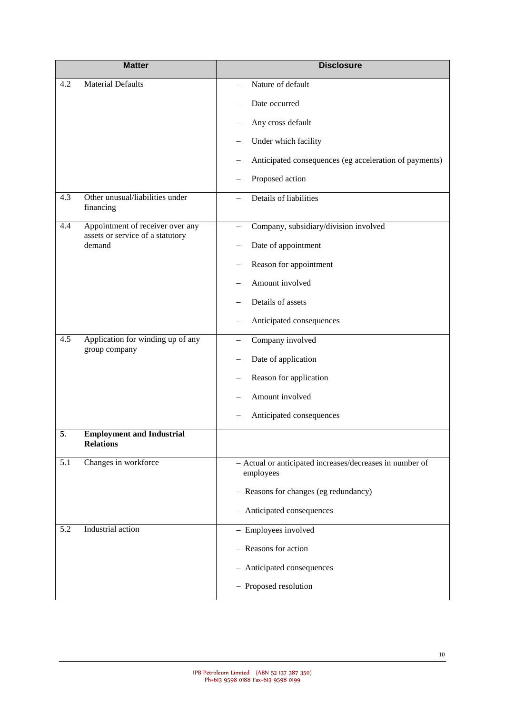|     | <b>Matter</b>                                                        | <b>Disclosure</b>                                                     |
|-----|----------------------------------------------------------------------|-----------------------------------------------------------------------|
| 4.2 | <b>Material Defaults</b>                                             | Nature of default                                                     |
|     |                                                                      | Date occurred                                                         |
|     |                                                                      | Any cross default                                                     |
|     |                                                                      | Under which facility<br>—                                             |
|     |                                                                      | Anticipated consequences (eg acceleration of payments)                |
|     |                                                                      | Proposed action                                                       |
| 4.3 | Other unusual/liabilities under<br>financing                         | Details of liabilities                                                |
| 4.4 | Appointment of receiver over any<br>assets or service of a statutory | Company, subsidiary/division involved                                 |
|     | demand                                                               | Date of appointment                                                   |
|     |                                                                      | Reason for appointment                                                |
|     |                                                                      | Amount involved                                                       |
|     |                                                                      | Details of assets                                                     |
|     |                                                                      | Anticipated consequences                                              |
| 4.5 | Application for winding up of any<br>group company                   | Company involved                                                      |
|     |                                                                      | Date of application                                                   |
|     |                                                                      | Reason for application                                                |
|     |                                                                      | Amount involved                                                       |
|     |                                                                      | Anticipated consequences                                              |
| 5.  | <b>Employment and Industrial</b><br><b>Relations</b>                 |                                                                       |
| 5.1 | Changes in workforce                                                 | - Actual or anticipated increases/decreases in number of<br>employees |
|     |                                                                      | - Reasons for changes (eg redundancy)                                 |
|     |                                                                      | - Anticipated consequences                                            |
| 5.2 | Industrial action                                                    | - Employees involved                                                  |
|     |                                                                      | - Reasons for action                                                  |
|     |                                                                      | - Anticipated consequences                                            |
|     |                                                                      | - Proposed resolution                                                 |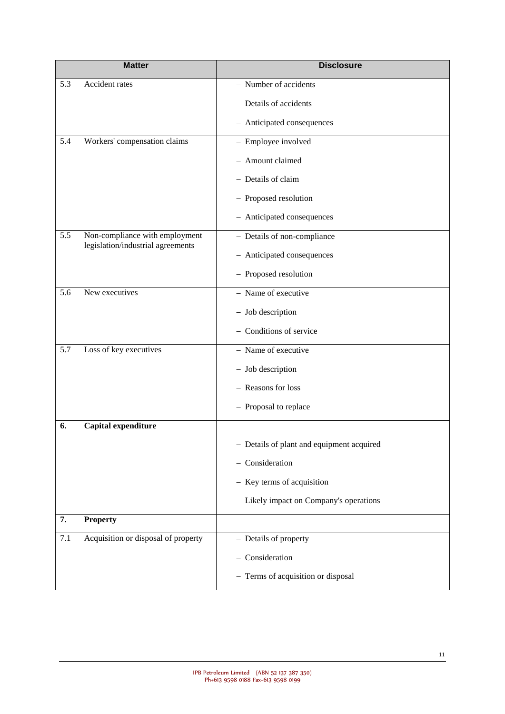|     | <b>Matter</b>                                                       | <b>Disclosure</b>                         |
|-----|---------------------------------------------------------------------|-------------------------------------------|
| 5.3 | Accident rates                                                      | - Number of accidents                     |
|     |                                                                     | - Details of accidents                    |
|     |                                                                     | - Anticipated consequences                |
| 5.4 | Workers' compensation claims                                        | - Employee involved                       |
|     |                                                                     | - Amount claimed                          |
|     |                                                                     | - Details of claim                        |
|     |                                                                     | - Proposed resolution                     |
|     |                                                                     | - Anticipated consequences                |
| 5.5 | Non-compliance with employment<br>legislation/industrial agreements | - Details of non-compliance               |
|     |                                                                     | - Anticipated consequences                |
|     |                                                                     | - Proposed resolution                     |
| 5.6 | New executives                                                      | - Name of executive                       |
|     |                                                                     | - Job description                         |
|     |                                                                     | - Conditions of service                   |
| 5.7 | Loss of key executives                                              | - Name of executive                       |
|     |                                                                     | - Job description                         |
|     |                                                                     | - Reasons for loss                        |
|     |                                                                     | - Proposal to replace                     |
| 6.  | Capital expenditure                                                 |                                           |
|     |                                                                     | - Details of plant and equipment acquired |
|     |                                                                     | - Consideration                           |
|     |                                                                     | - Key terms of acquisition                |
|     |                                                                     | - Likely impact on Company's operations   |
| 7.  | <b>Property</b>                                                     |                                           |
| 7.1 | Acquisition or disposal of property                                 | - Details of property                     |
|     |                                                                     | - Consideration                           |
|     |                                                                     | - Terms of acquisition or disposal        |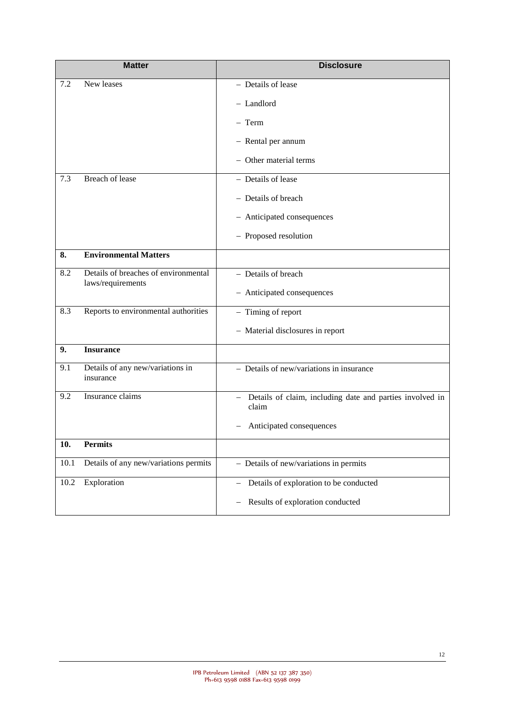|      | <b>Matter</b>                                             | <b>Disclosure</b>                                                   |
|------|-----------------------------------------------------------|---------------------------------------------------------------------|
| 7.2  | New leases                                                | - Details of lease                                                  |
|      |                                                           | - Landlord                                                          |
|      |                                                           | $-$ Term                                                            |
|      |                                                           | - Rental per annum                                                  |
|      |                                                           | - Other material terms                                              |
| 7.3  | Breach of lease                                           | - Details of lease                                                  |
|      |                                                           | - Details of breach                                                 |
|      |                                                           | - Anticipated consequences                                          |
|      |                                                           | - Proposed resolution                                               |
| 8.   | <b>Environmental Matters</b>                              |                                                                     |
| 8.2  | Details of breaches of environmental<br>laws/requirements | - Details of breach                                                 |
|      |                                                           | - Anticipated consequences                                          |
| 8.3  | Reports to environmental authorities                      | - Timing of report                                                  |
|      |                                                           | - Material disclosures in report                                    |
| 9.   | <b>Insurance</b>                                          |                                                                     |
| 9.1  | Details of any new/variations in<br>insurance             | - Details of new/variations in insurance                            |
| 9.2  | Insurance claims                                          | - Details of claim, including date and parties involved in<br>claim |
|      |                                                           | Anticipated consequences                                            |
| 10.  | <b>Permits</b>                                            |                                                                     |
| 10.1 | Details of any new/variations permits                     | - Details of new/variations in permits                              |
| 10.2 | Exploration                                               | Details of exploration to be conducted<br>$\overline{\phantom{m}}$  |
|      |                                                           | Results of exploration conducted<br>$\qquad \qquad -$               |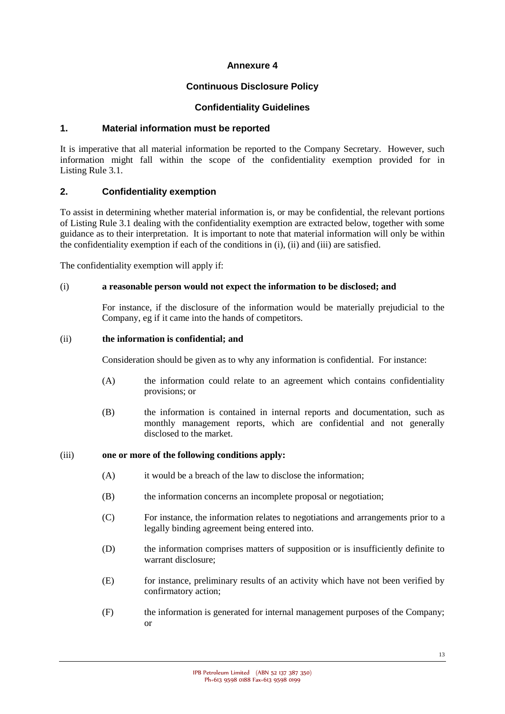## **Continuous Disclosure Policy**

#### **Confidentiality Guidelines**

## **1. Material information must be reported**

It is imperative that all material information be reported to the Company Secretary. However, such information might fall within the scope of the confidentiality exemption provided for in Listing Rule 3.1.

#### **2. Confidentiality exemption**

To assist in determining whether material information is, or may be confidential, the relevant portions of Listing Rule 3.1 dealing with the confidentiality exemption are extracted below, together with some guidance as to their interpretation. It is important to note that material information will only be within the confidentiality exemption if each of the conditions in (i), (ii) and (iii) are satisfied.

The confidentiality exemption will apply if:

#### (i) **a reasonable person would not expect the information to be disclosed; and**

For instance, if the disclosure of the information would be materially prejudicial to the Company, eg if it came into the hands of competitors.

#### (ii) **the information is confidential; and**

Consideration should be given as to why any information is confidential. For instance:

- (A) the information could relate to an agreement which contains confidentiality provisions; or
- (B) the information is contained in internal reports and documentation, such as monthly management reports, which are confidential and not generally disclosed to the market.

#### (iii) **one or more of the following conditions apply:**

- (A) it would be a breach of the law to disclose the information;
- (B) the information concerns an incomplete proposal or negotiation;
- (C) For instance, the information relates to negotiations and arrangements prior to a legally binding agreement being entered into.
- (D) the information comprises matters of supposition or is insufficiently definite to warrant disclosure;
- (E) for instance, preliminary results of an activity which have not been verified by confirmatory action;
- (F) the information is generated for internal management purposes of the Company; or